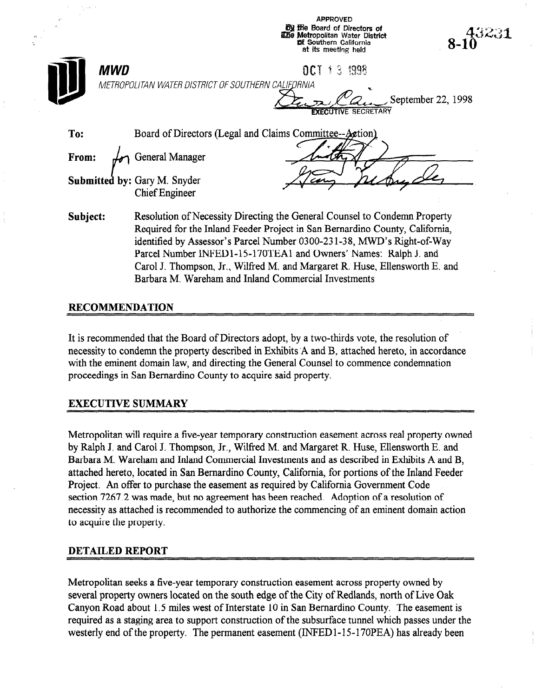| 95                                                  | <b>APPROVED</b><br><b>by the Board of Directors of</b><br>$8-10^{43231}$<br>The Metropolitan Water District<br><b>pf Southern California</b><br>at its meeting held                                                                                                                                                                                                                                                                           |
|-----------------------------------------------------|-----------------------------------------------------------------------------------------------------------------------------------------------------------------------------------------------------------------------------------------------------------------------------------------------------------------------------------------------------------------------------------------------------------------------------------------------|
| <b>MWD</b>                                          | <b>OCT 1 3 1998</b><br>METROPOLITAN WATER DISTRICT OF SOUTHERN CALIFORNIA<br>September 22, 1998<br><b>FXECUTIVE SECRETARY</b>                                                                                                                                                                                                                                                                                                                 |
| To:<br>From:<br><b>Submitted by: Gary M. Snyder</b> | Board of Directors (Legal and Claims Committee--Action)<br>General Manager<br><b>Chief Engineer</b>                                                                                                                                                                                                                                                                                                                                           |
| Subject:                                            | Resolution of Necessity Directing the General Counsel to Condemn Property<br>Required for the Inland Feeder Project in San Bernardino County, California,<br>identified by Assessor's Parcel Number 0300-231-38, MWD's Right-of-Way<br>Parcel Number INFED1-15-170TEA1 and Owners' Names: Ralph J. and<br>Carol J. Thompson, Jr., Wilfred M. and Margaret R. Huse, Ellensworth E. and<br>Barbara M. Wareham and Inland Commercial Investments |

### RECOMMENDATION

It is recommended that the Board of Directors adopt, by a two-thirds vote, the resolution of necessity to condemn the property described in Exhibits 'A and B, attached hereto, in accordance with the eminent domain law, and directing the General Counsel to commence condemnation proceedings in San Bernardino County to acquire said property.

### EXECUTIVE SUMMARY

Metropolitan will require a five-year temporary construction easement across real property owned by Ralph J. and Carol J. Thompson, Jr., Wilfred M. and Margaret R. Huse, Ellensworth E. and Barbara M. Wareham and Inland Commercial Investments and as described in Exhibits A and B, attached hereto, located in San Bernardino County, California, for portions of the Inland Feeder Project. An offer to purchase the easement as required by California Government Code section 7267.2 was made, but no agreement has been reached. Adoption of a resolution of necessity as attached is recommended to authorize the commencing of an eminent domain action to acquire the property.

#### DETAILED REPORT

Metropolitan seeks a five-year temporary construction easement across property owned by several property owners located on the south edge of the City of Redlands, north of Live Oak Canyon Road about 1.5 miles west of Interstate 10 in San Bernardino County. The easement is required as a staging area to support construction of the subsurface tunnel which passes under the westerly end of the property. The permanent easement (INFED1-15-170PEA) has already been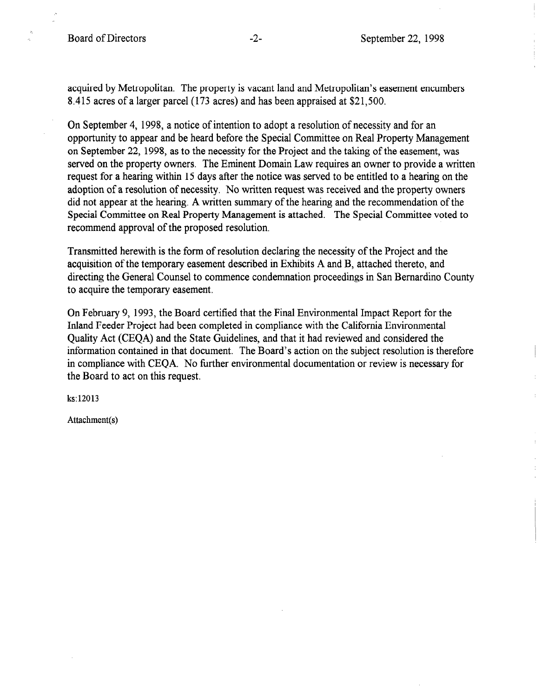acquired by Metropolitan. The property is vacant land and Metropolitan's easement encumbers 8.415 acres of a larger parcel (173 acres) and has been appraised at \$21,500.

On September 4, 1998, a notice of intention to adopt a resolution of necessity and for an opportunity to appear and be heard before the Special Committee on Real Property Management on September 22, 1998, as to the necessity for the Project and the taking of the easement, was served on the property owners. The Eminent Domain Law requires an owner to provide a written request for a hearing within 15 days after the notice was served to be entitled to a hearing on the adoption of a resolution of necessity. No written request was received and the property owners did not appear at the hearing. A written summary of the hearing and the recommendation of the Special Committee on Real Property Management is attached. The Special Committee voted to recommend approval of the proposed resolution.

Transmitted herewith is the form of resolution declaring the necessity of the Project and the acquisition of the temporary easement described in Exhibits A and B, attached thereto, and directing the General Counsel to commence condemnation proceedings in San Bernardino County to acquire the temporary easement,

On February 9, 1993, the Board certified that the Final Environmental Impact Report for the Inland Feeder Project had been completed in compliance with the California Environmental Quality Act (CEQA) and the State Guidelines, and that it had reviewed and considered the Quanty first (CEQT) and the Buile Gallenhos, and that it had reviewed and considered the information comained in that document. The Doard's action on the subject resolution is therefore in compliance with CEQA. No further environmental documentation or review is necessary for the Board to act on this request.

ks: 12013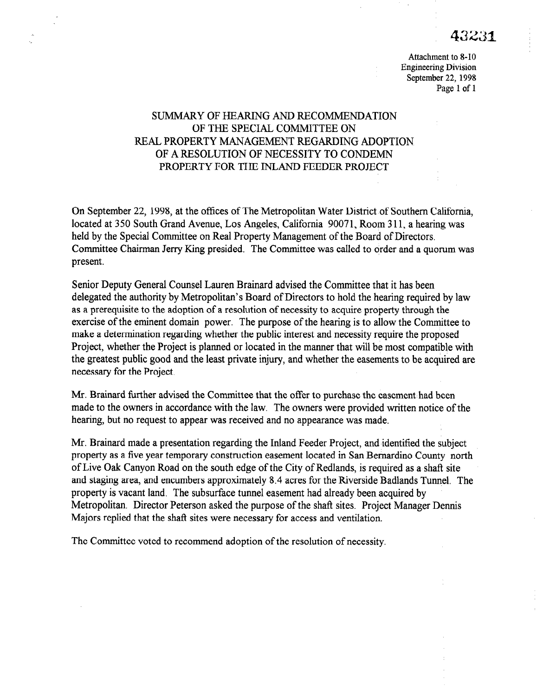Attachment to S-10 Engineering Division September 22, 1998 Page 1 of 1

# SUMMARY OF HEARING AND RECOMMENDATION OF THE SPECIAL COMMITTEE ON REAL PROPERTY MANAGEMENT REGARDING ADOPTION OF A RESOLUTION OF NECESSITY TO CONDEMN PROPERTY FOR THE INLAND FEEDER PROJECT

On September 22, 1998, at the offices of The Metropolitan Water District of Southern California, located at 350 South Grand Avenue, Los Angeles, California 90071, Room 311, a hearing was held by the Special Committee on Real Property Management of the Board of Directors. Committee Chairman Jerry Ring presided. The Committee was called to order and a quorum was present.

Senior Deputy General Counsel Lauren Brainard advised the Committee that it has been delegated the authority by Metropolitan's Board of Directors to hold the hearing required by law as a prerequisite to the adoption of a resolution of necessity to acquire property through the exercise of the eminent domain power. The purpose of the hearing is to allow the Committee to make a determination regarding whether the public interest and necessity require the proposed Project, whether the Project is planned or located in the manner that will be most compatible with the greatest public good and the least private injury, and whether the easements to be acquired are necessary for the Project.

Mr. Brainard further advised the Committee that the offer to purchase the easement had been made to the owners in accordance with the law. The owners were provided written notice of the hearing, but no request to appear was received and no appearance was made.

Mr. Brainard made a presentation regarding the Inland Feeder Project, and identified the subject property as a five year temporary construction easement located in San Bernardino County north of Live Oak Canyon Road on the south edge of the City of Redlands, is required as a shaft site and staging area, and encumbers approximately 8.4 acres for the Riverside Badlands Tunnel. The property is vacant land. The subsurface tunnel easement had already been acquired by Metropolitan. Director Peterson asked the purpose of the shaft sites. Project Manager Dennis Majors replied that the shaft sites were necessary for access and ventilation.

The Committee voted to recommend adoption of the resolution of necessity.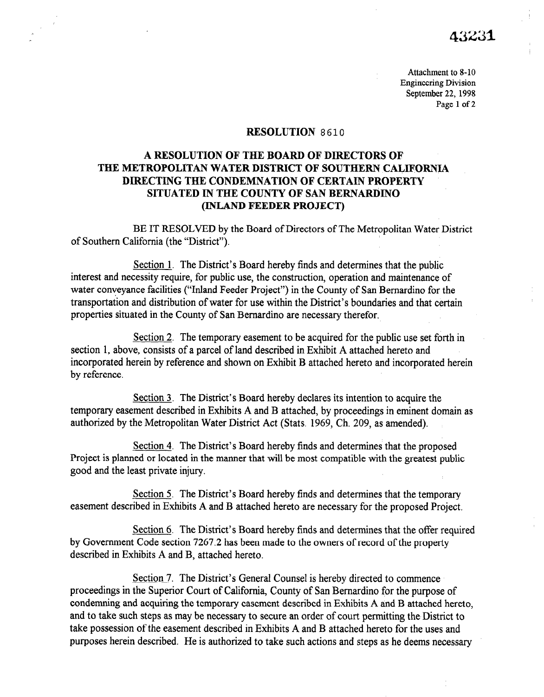Attachment to S-10 Engineering Division September 22, 1998 Page 1 of 2

### **RESOLUTION 8610**

# A RESOLUTION OF THE BOARD OF DIRECTORS OF THE METROPOLITAN WATER DISTRICT OF SOUTHERN CALIFORNIA DIRECTING THE CONDEMNATION OF CERTAIN PROPERTY SITUATED IN THE COUNTY OF SAN BERNARDINO (INLAND FEEDER PROJECT)

BE IT RESOLVED by the Board of Directors of The Metropolitan Water District of Southern California (the "District").

Section 1. The District's Board hereby finds and determines that the public interest and necessity require, for public use, the construction, operation and maintenance of water conveyance facilities ("Inland Feeder Project") in the County of San Bernardino for the transportation and distribution of water for use within the District's boundaries and that certain properties situated in the County of San Bernardino are necessary therefor.

Section 2. The temporary easement to be acquired for the public use set forth in section 1, above, consists of a parcel of land described in Exhibit A attached hereto and incorporated herein by reference and shown on Exhibit B attached hereto and incorporated herein by reference.

Section 3. The District's Board hereby declares its intention to acquire the temporary easement described in Exhibits A and B attached, by proceedings in eminent domain as authorized by the Metropolitan Water District Act (Stats, 1969, Ch. 209, as amended).

Section 4. The District's Board hereby finds and determines that the proposed Project is planned or located in the manner that will be most compatible with the greatest public good and the least private injury.

Section 5. The District's Board hereby finds and determines that the temporary easement described in Exhibits A and B attached hereto are necessary for the proposed Project.

Section 6. The District's Board hereby finds and determines that the offer required by Government Code section 7267.2 has been made to the owners of record of the property described in Exhibits A and B, attached hereto.

Section 7. The District's General Counsel is hereby directed to commence proceedings in the Superior Court of California, County of San Bernardino for the purpose of condemning and acquiring the temporary easement described in Exhibits A and B attached hereto, and to take such steps as may be necessary to secure an order of court permitting the District to take possession of the easement described in Exhibits A and B attached hereto for the uses and purposes herein described. He is authorized to take such actions and steps as he deems necessary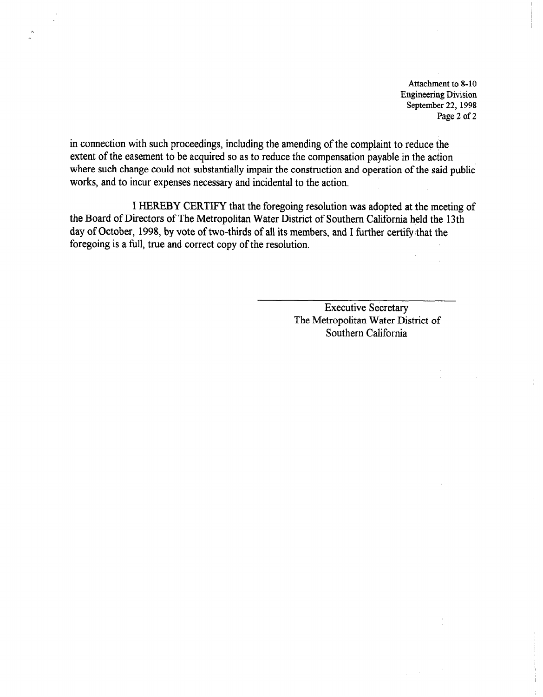Attachment to S-10 Engineering Division September 22, 1998 Page 2 of 2

in connection with such proceedings, including the amending of the complaint to reduce the extent of the easement to be acquired so as to reduce the compensation payable in the action where such change could not substantially impair the construction and operation of the said public works, and to incur expenses necessary and incidental to the action.

I HEREBY CERTIFY that the foregoing resolution was adopted at the meeting of the Board of Directors of The Metropolitan Water District of Southern California held the 13th day of October, 1998, by vote of two-thirds of all its members, and I further certify that the foregoing is a full, true and correct copy of the resolution.

> Executive Secretary The Metropolitan Water District of Southern California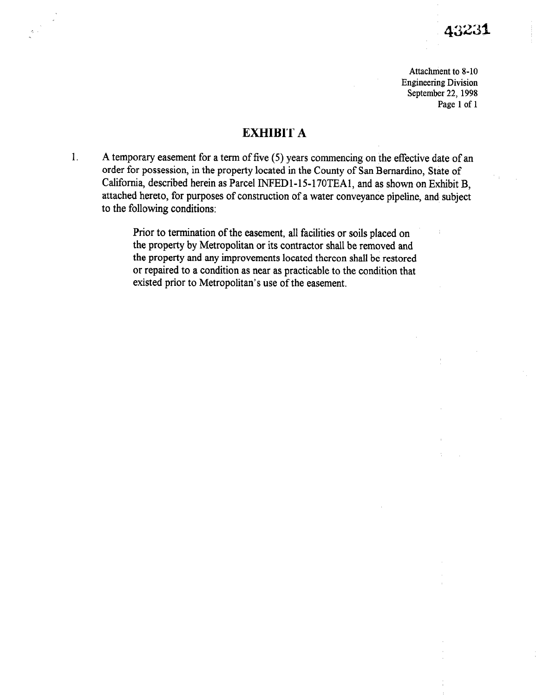Attachment to S-10 Engineering Division September 22, 1998 Page 1 of 1

# EXHIBIT A

1. A temporary easement for a term of five (5) years commencing on the effective date of an order for possession, in the property located in the County of San Bernardino, State of California, described herein as Parcel INFED1-15-170TEA1, and as shown on Exhibit B, attached hereto, for purposes of construction of a water conveyance pipeline, and subject to the following conditions:

> Prior to termination of the easement, all facilities or soils placed on the property by Metropolitan or its contractor shall be removed and the property and any improvements located thereon shall be restored or repaired to a condition as near as practicable to the condition that existed prior to Metropolitan's use of the easement.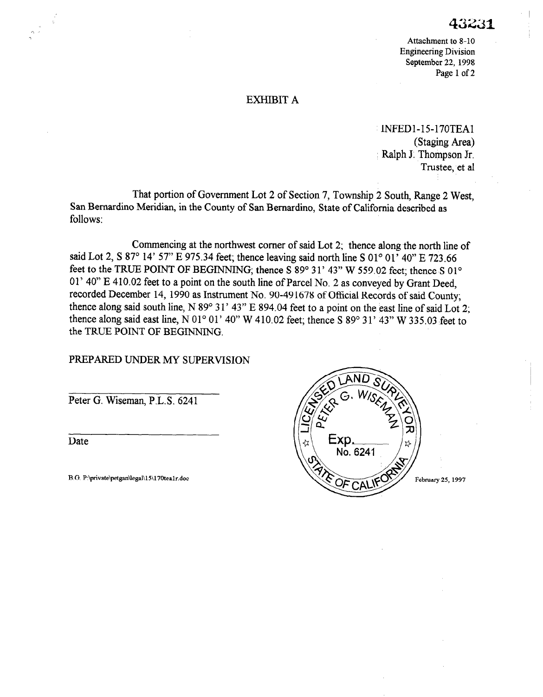Attachment to 8-10 Engineering Division September 22, 1998 Page 1 of 2

## EXHIBIT A

INFEDl-15-170TEAl (Staging Area) Ralph J. Thompson Jr. Trustee, et al

That portion of Government Lot 2 of Section 7, Township 2 South, Range 2 West, San Bernardino Meridian, in the County of San Bernardino, State of California described as follows:

Commencing at the northwest corner of said Lot 2; thence along the north line of said Lot 2, S 87° 14' 57" E 975.34 feet; thence leaving said north line S 01° 01' 40" E 723.66 feet to the TRUE POINT OF BEGINNING; thence S 89° 31' 43" W 559.02 feet; thence S 01° 01' 40" E 410.02 feet to a point on the south line of Parcel No. 2 as conveyed by Grant Deed, recorded December 14, 1990 as Instrument No. 90-491678 of Official Records of said County; thence along said south line, N 89° 31' 43" E 894.04 feet to a point on the east line of said Lot 2; thence along said east line, N 01 $^{\circ}$  01' 40" W 410.02 feet; thence S 89 $^{\circ}$  31' 43" W 335.03 feet to the TRUE POINT OF BEGINNING.

## PREPARED UNDER MY SUPERVISION

Peter G. Wiseman, P.L.S. 6241

Date